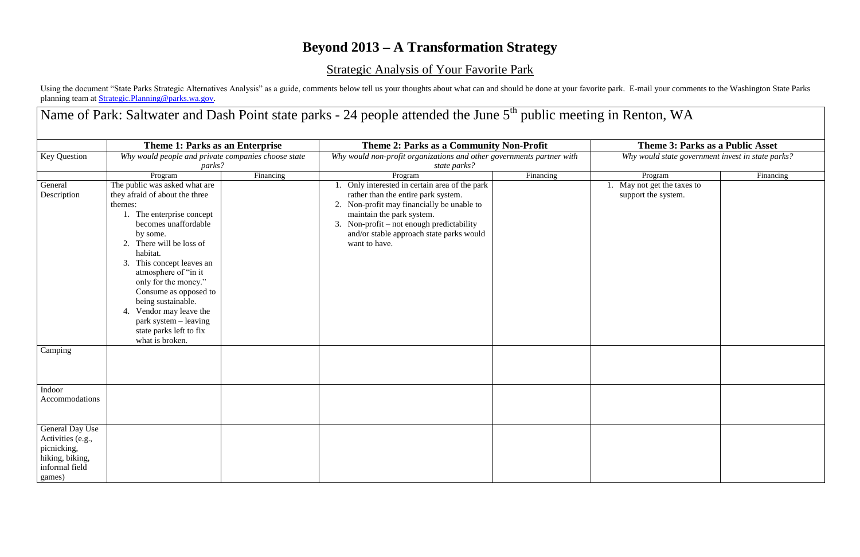## **Beyond 2013 – A Transformation Strategy**

## Strategic Analysis of Your Favorite Park

Using the document "State Parks Strategic Alternatives Analysis" as a guide, comments below tell us your thoughts about what can and should be done at your favorite park. E-mail your comments to the Washington State Parks planning team at [Strategic.Planning@parks.wa.gov.](mailto:Strategic.Planning@parks.wa.gov)

Name of Park: Saltwater and Dash Point state parks - 24 people attended the June 5<sup>th</sup> public meeting in Renton, WA

|                     | Theme 1: Parks as an Enterprise                     |           | Theme 2: Parks as a Community Non-Profit                              |           | Theme 3: Parks as a Public Asset                 |           |
|---------------------|-----------------------------------------------------|-----------|-----------------------------------------------------------------------|-----------|--------------------------------------------------|-----------|
| <b>Key Question</b> | Why would people and private companies choose state |           | Why would non-profit organizations and other governments partner with |           | Why would state government invest in state parks |           |
|                     | parks?                                              |           | state parks?                                                          |           |                                                  |           |
|                     | Program                                             | Financing | Program                                                               | Financing | Program                                          | Financing |
| General             | The public was asked what are                       |           | 1. Only interested in certain area of the park                        |           | 1. May not get the taxes to                      |           |
| Description         | they afraid of about the three                      |           | rather than the entire park system.                                   |           | support the system.                              |           |
|                     | themes:                                             |           | 2. Non-profit may financially be unable to                            |           |                                                  |           |
|                     | 1. The enterprise concept                           |           | maintain the park system.                                             |           |                                                  |           |
|                     | becomes unaffordable                                |           | 3. Non-profit – not enough predictability                             |           |                                                  |           |
|                     | by some.                                            |           | and/or stable approach state parks would                              |           |                                                  |           |
|                     | 2. There will be loss of                            |           | want to have.                                                         |           |                                                  |           |
|                     | habitat.                                            |           |                                                                       |           |                                                  |           |
|                     | 3. This concept leaves an                           |           |                                                                       |           |                                                  |           |
|                     | atmosphere of "in it                                |           |                                                                       |           |                                                  |           |
|                     | only for the money."                                |           |                                                                       |           |                                                  |           |
|                     | Consume as opposed to                               |           |                                                                       |           |                                                  |           |
|                     | being sustainable.                                  |           |                                                                       |           |                                                  |           |
|                     | 4. Vendor may leave the                             |           |                                                                       |           |                                                  |           |
|                     | park system - leaving<br>state parks left to fix    |           |                                                                       |           |                                                  |           |
|                     | what is broken.                                     |           |                                                                       |           |                                                  |           |
| Camping             |                                                     |           |                                                                       |           |                                                  |           |
|                     |                                                     |           |                                                                       |           |                                                  |           |
|                     |                                                     |           |                                                                       |           |                                                  |           |
| Indoor              |                                                     |           |                                                                       |           |                                                  |           |
| Accommodations      |                                                     |           |                                                                       |           |                                                  |           |
|                     |                                                     |           |                                                                       |           |                                                  |           |
| General Day Use     |                                                     |           |                                                                       |           |                                                  |           |
| Activities (e.g.,   |                                                     |           |                                                                       |           |                                                  |           |
| picnicking,         |                                                     |           |                                                                       |           |                                                  |           |
| hiking, biking,     |                                                     |           |                                                                       |           |                                                  |           |
| informal field      |                                                     |           |                                                                       |           |                                                  |           |
| games)              |                                                     |           |                                                                       |           |                                                  |           |

## **Theme 3: Parks as a Public Asset**

|    | Program                                         | Financing |
|----|-------------------------------------------------|-----------|
| 1. | May not get the taxes to<br>support the system. |           |
|    |                                                 |           |
|    |                                                 |           |
|    |                                                 |           |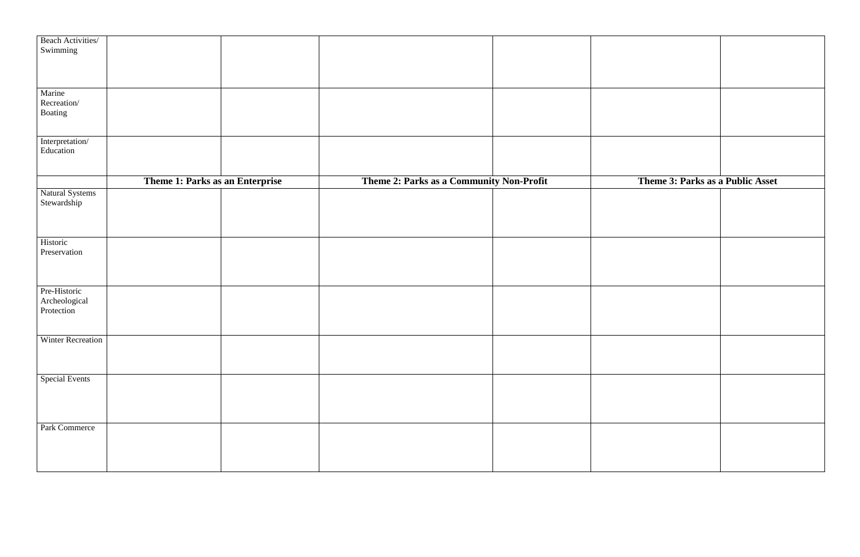| t | Theme 3: Parks as a Public Asset |  |
|---|----------------------------------|--|
|   |                                  |  |
|   |                                  |  |
|   |                                  |  |
|   |                                  |  |
|   |                                  |  |
|   |                                  |  |

| Beach Activities/        |                                 |                                          |  |
|--------------------------|---------------------------------|------------------------------------------|--|
| Swimming                 |                                 |                                          |  |
|                          |                                 |                                          |  |
|                          |                                 |                                          |  |
|                          |                                 |                                          |  |
|                          |                                 |                                          |  |
| Marine                   |                                 |                                          |  |
| Recreation/              |                                 |                                          |  |
| Boating                  |                                 |                                          |  |
|                          |                                 |                                          |  |
|                          |                                 |                                          |  |
|                          |                                 |                                          |  |
| Interpretation/          |                                 |                                          |  |
| Education                |                                 |                                          |  |
|                          |                                 |                                          |  |
|                          |                                 |                                          |  |
|                          | Theme 1: Parks as an Enterprise | Theme 2: Parks as a Community Non-Profit |  |
|                          |                                 |                                          |  |
| Natural Systems          |                                 |                                          |  |
| Stewardship              |                                 |                                          |  |
|                          |                                 |                                          |  |
|                          |                                 |                                          |  |
|                          |                                 |                                          |  |
| Historic                 |                                 |                                          |  |
| Preservation             |                                 |                                          |  |
|                          |                                 |                                          |  |
|                          |                                 |                                          |  |
|                          |                                 |                                          |  |
|                          |                                 |                                          |  |
| Pre-Historic             |                                 |                                          |  |
| Archeological            |                                 |                                          |  |
| Protection               |                                 |                                          |  |
|                          |                                 |                                          |  |
|                          |                                 |                                          |  |
| <b>Winter Recreation</b> |                                 |                                          |  |
|                          |                                 |                                          |  |
|                          |                                 |                                          |  |
|                          |                                 |                                          |  |
|                          |                                 |                                          |  |
| <b>Special Events</b>    |                                 |                                          |  |
|                          |                                 |                                          |  |
|                          |                                 |                                          |  |
|                          |                                 |                                          |  |
|                          |                                 |                                          |  |
| Park Commerce            |                                 |                                          |  |
|                          |                                 |                                          |  |
|                          |                                 |                                          |  |
|                          |                                 |                                          |  |
|                          |                                 |                                          |  |
|                          |                                 |                                          |  |